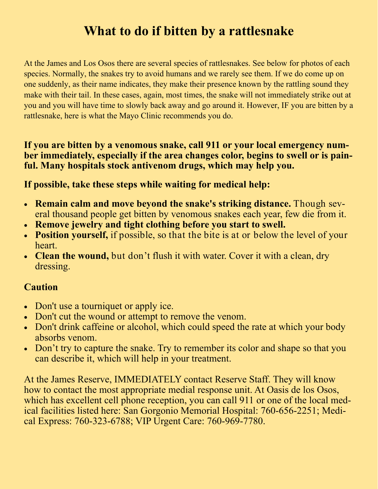# **What to do if bitten by a rattlesnake**

At the James and Los Osos there are several species of rattlesnakes. See below for photos of each species. Normally, the snakes try to avoid humans and we rarely see them. If we do come up on one suddenly, as their name indicates, they make their presence known by the rattling sound they make with their tail. In these cases, again, most times, the snake will not immediately strike out at you and you will have time to slowly back away and go around it. However, IF you are bitten by a rattlesnake, here is what the Mayo Clinic recommends you do.

#### **If you are bitten by a venomous snake, call 911 or your local emergency number immediately, especially if the area changes color, begins to swell or is painful. Many hospitals stock antivenom drugs, which may help you.**

#### **If possible, take these steps while waiting for medical help:**

- **Remain calm and move beyond the snake's striking distance.** Though several thousand people get bitten by venomous snakes each year, few die from it.
- **Remove jewelry and tight clothing before you start to swell.**
- **Position yourself,** if possible, so that the bite is at or below the level of your heart.
- **Clean the wound,** but don't flush it with water. Cover it with a clean, dry dressing.

#### **Caution**

- Don't use a tourniquet or apply ice.
- Don't cut the wound or attempt to remove the venom.
- Don't drink caffeine or alcohol, which could speed the rate at which your body absorbs venom.
- Don't try to capture the snake. Try to remember its color and shape so that you can describe it, which will help in your treatment.

At the James Reserve, IMMEDIATELY contact Reserve Staff. They will know how to contact the most appropriate medial response unit. At Oasis de los Osos, which has excellent cell phone reception, you can call 911 or one of the local medical facilities listed here: San Gorgonio Memorial Hospital: 760-656-2251; Medical Express: 760-323-6788; VIP Urgent Care: 760-969-7780.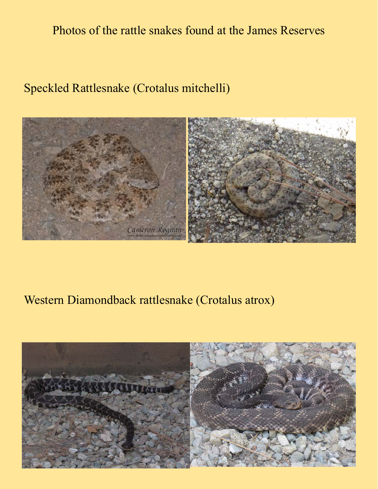### Photos of the rattle snakes found at the James Reserves

### Speckled Rattlesnake (Crotalus mitchelli)



#### Western Diamondback rattlesnake (Crotalus atrox)